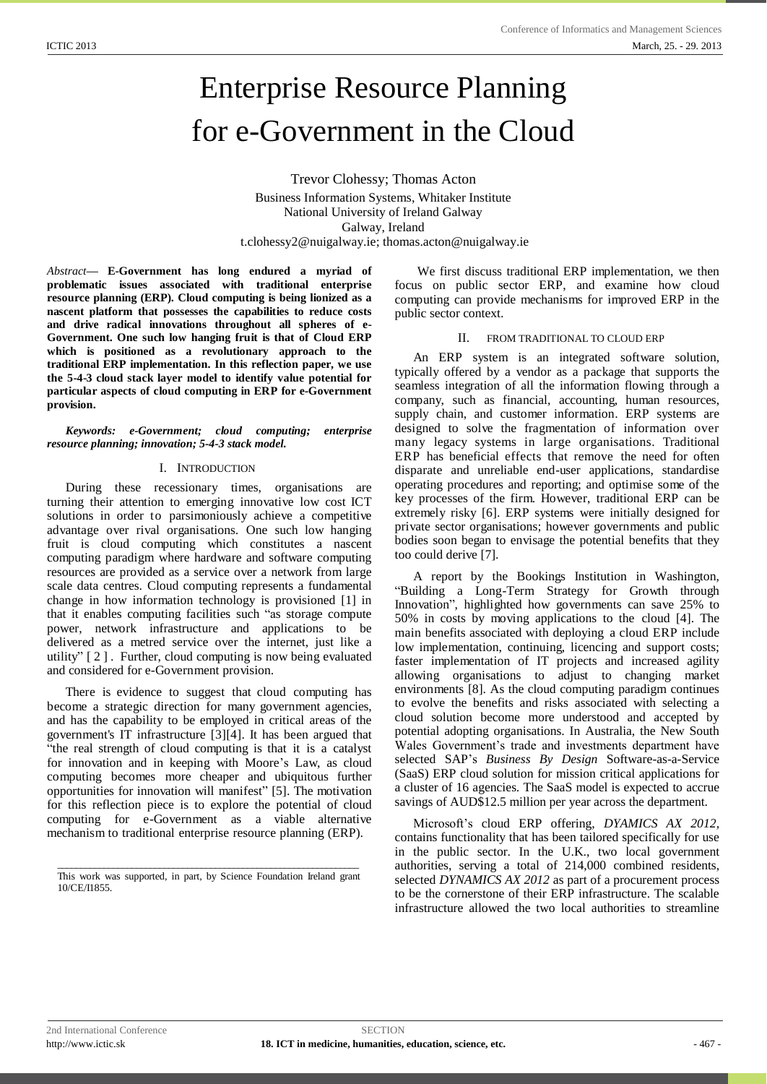# Enterprise Resource Planning for e-Government in the Cloud

Trevor Clohessy; Thomas Acton Business Information Systems, Whitaker Institute National University of Ireland Galway Galway, Ireland [t.clohessy2@nuigalway.ie;](mailto:t.clohessy2@nuigalway.ie) [thomas.acton@nuigalway.ie](mailto:thomas.acton@nuigalway.ie)

*Abstract***— E-Government has long endured a myriad of problematic issues associated with traditional enterprise resource planning (ERP). Cloud computing is being lionized as a nascent platform that possesses the capabilities to reduce costs and drive radical innovations throughout all spheres of e-Government. One such low hanging fruit is that of Cloud ERP which is positioned as a revolutionary approach to the traditional ERP implementation. In this reflection paper, we use the 5-4-3 cloud stack layer model to identify value potential for particular aspects of cloud computing in ERP for e-Government provision.**

## *Keywords: e-Government; cloud computing; enterprise resource planning; innovation; 5-4-3 stack model.*

#### I. INTRODUCTION

During these recessionary times, organisations are turning their attention to emerging innovative low cost ICT solutions in order to parsimoniously achieve a competitive advantage over rival organisations. One such low hanging fruit is cloud computing which constitutes a nascent computing paradigm where hardware and software computing resources are provided as a service over a network from large scale data centres. Cloud computing represents a fundamental change in how information technology is provisioned [1] in that it enables computing facilities such "as storage compute power, network infrastructure and applications to be delivered as a metred service over the internet, just like a utility" [ 2 ] . Further, cloud computing is now being evaluated and considered for e-Government provision.

There is evidence to suggest that cloud computing has become a strategic direction for many government agencies, and has the capability to be employed in critical areas of the government's IT infrastructure [3][4]. It has been argued that "the real strength of cloud computing is that it is a catalyst for innovation and in keeping with Moore"s Law, as cloud computing becomes more cheaper and ubiquitous further opportunities for innovation will manifest" [5]. The motivation for this reflection piece is to explore the potential of cloud computing for e-Government as a viable alternative mechanism to traditional enterprise resource planning (ERP).

\_\_\_\_\_\_\_\_\_\_\_\_\_\_\_\_\_\_\_\_\_\_\_\_\_\_\_\_\_\_\_\_\_\_\_\_\_\_\_\_\_\_\_\_\_\_\_\_\_\_\_\_\_\_\_\_\_\_\_\_\_\_\_\_\_ This work was supported, in part, by Science Foundation Ireland grant 10/CE/I1855.

We first discuss traditional ERP implementation, we then focus on public sector ERP, and examine how cloud computing can provide mechanisms for improved ERP in the public sector context.

## II. FROM TRADITIONAL TO CLOUD ERP

An ERP system is an integrated software solution, typically offered by a vendor as a package that supports the seamless integration of all the information flowing through a company, such as financial, accounting, human resources, supply chain, and customer information. ERP systems are designed to solve the fragmentation of information over many legacy systems in large organisations. Traditional ERP has beneficial effects that remove the need for often disparate and unreliable end-user applications, standardise operating procedures and reporting; and optimise some of the key processes of the firm. However, traditional ERP can be extremely risky [6]. ERP systems were initially designed for private sector organisations; however governments and public bodies soon began to envisage the potential benefits that they too could derive [7].

A report by the Bookings Institution in Washington, "Building a Long-Term Strategy for Growth through Innovation", highlighted how governments can save 25% to 50% in costs by moving applications to the cloud [4]. The main benefits associated with deploying a cloud ERP include low implementation, continuing, licencing and support costs; faster implementation of IT projects and increased agility allowing organisations to adjust to changing market environments [8]. As the cloud computing paradigm continues to evolve the benefits and risks associated with selecting a cloud solution become more understood and accepted by potential adopting organisations. In Australia, the New South Wales Government's trade and investments department have selected SAP"s *Business By Design* Software-as-a-Service (SaaS) ERP cloud solution for mission critical applications for a cluster of 16 agencies. The SaaS model is expected to accrue savings of AUD\$12.5 million per year across the department.

Microsoft"s cloud ERP offering, *DYAMICS AX 2012,* contains functionality that has been tailored specifically for use in the public sector. In the U.K., two local government authorities, serving a total of 214,000 combined residents, selected *DYNAMICS AX 2012* as part of a procurement process to be the cornerstone of their ERP infrastructure. The scalable infrastructure allowed the two local authorities to streamline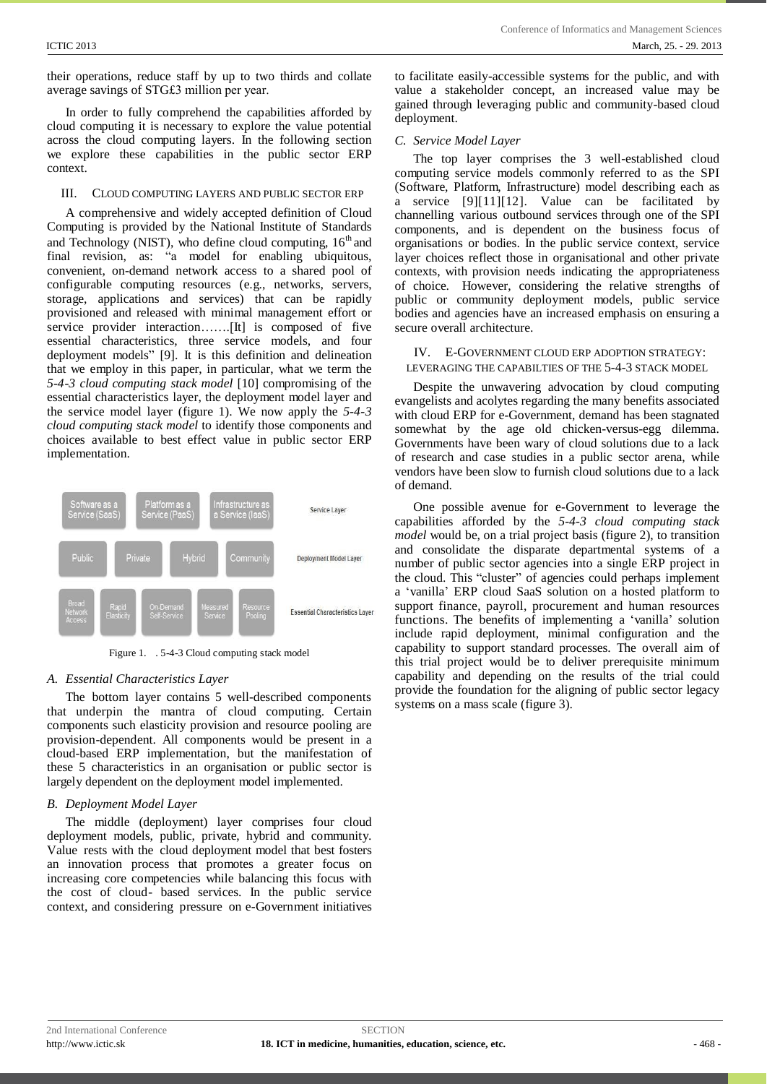their operations, reduce staff by up to two thirds and collate average savings of STG£3 million per year.

In order to fully comprehend the capabilities afforded by cloud computing it is necessary to explore the value potential across the cloud computing layers. In the following section we explore these capabilities in the public sector ERP context.

## III. CLOUD COMPUTING LAYERS AND PUBLIC SECTOR ERP

A comprehensive and widely accepted definition of Cloud Computing is provided by the National Institute of Standards and Technology (NIST), who define cloud computing,  $16<sup>th</sup>$  and final revision, as: "a model for enabling ubiquitous, convenient, on-demand network access to a shared pool of configurable computing resources (e.g., networks, servers, storage, applications and services) that can be rapidly provisioned and released with minimal management effort or service provider interaction…….[It] is composed of five essential characteristics, three service models, and four deployment models" [9]. It is this definition and delineation that we employ in this paper, in particular, what we term the *5-4-3 cloud computing stack model* [10] compromising of the essential characteristics layer, the deployment model layer and the service model layer (figure 1). We now apply the *5-4-3 cloud computing stack model* to identify those components and choices available to best effect value in public sector ERP implementation.



Figure 1. . 5-4-3 Cloud computing stack model

## *A. Essential Characteristics Layer*

The bottom layer contains 5 well-described components that underpin the mantra of cloud computing. Certain components such elasticity provision and resource pooling are provision-dependent. All components would be present in a cloud-based ERP implementation, but the manifestation of these 5 characteristics in an organisation or public sector is largely dependent on the deployment model implemented.

## *B. Deployment Model Layer*

The middle (deployment) layer comprises four cloud deployment models, public, private, hybrid and community. Value rests with the cloud deployment model that best fosters an innovation process that promotes a greater focus on increasing core competencies while balancing this focus with the cost of cloud- based services. In the public service context, and considering pressure on e-Government initiatives to facilitate easily-accessible systems for the public, and with value a stakeholder concept, an increased value may be gained through leveraging public and community-based cloud deployment.

## *C. Service Model Layer*

The top layer comprises the 3 well-established cloud computing service models commonly referred to as the SPI (Software, Platform, Infrastructure) model describing each as a service  $[9][11][12]$ . Value can be facilitated by channelling various outbound services through one of the SPI components, and is dependent on the business focus of organisations or bodies. In the public service context, service layer choices reflect those in organisational and other private contexts, with provision needs indicating the appropriateness of choice. However, considering the relative strengths of public or community deployment models, public service bodies and agencies have an increased emphasis on ensuring a secure overall architecture.

## IV. E-GOVERNMENT CLOUD ERP ADOPTION STRATEGY: LEVERAGING THE CAPABILTIES OF THE 5-4-3 STACK MODEL

Despite the unwavering advocation by cloud computing evangelists and acolytes regarding the many benefits associated with cloud ERP for e-Government, demand has been stagnated somewhat by the age old chicken-versus-egg dilemma. Governments have been wary of cloud solutions due to a lack of research and case studies in a public sector arena, while vendors have been slow to furnish cloud solutions due to a lack of demand.

One possible avenue for e-Government to leverage the capabilities afforded by the *5-4-3 cloud computing stack model* would be, on a trial project basis (figure 2), to transition and consolidate the disparate departmental systems of a number of public sector agencies into a single ERP project in the cloud. This "cluster" of agencies could perhaps implement a "vanilla" ERP cloud SaaS solution on a hosted platform to support finance, payroll, procurement and human resources functions. The benefits of implementing a "vanilla" solution include rapid deployment, minimal configuration and the capability to support standard processes. The overall aim of this trial project would be to deliver prerequisite minimum capability and depending on the results of the trial could provide the foundation for the aligning of public sector legacy systems on a mass scale (figure 3).